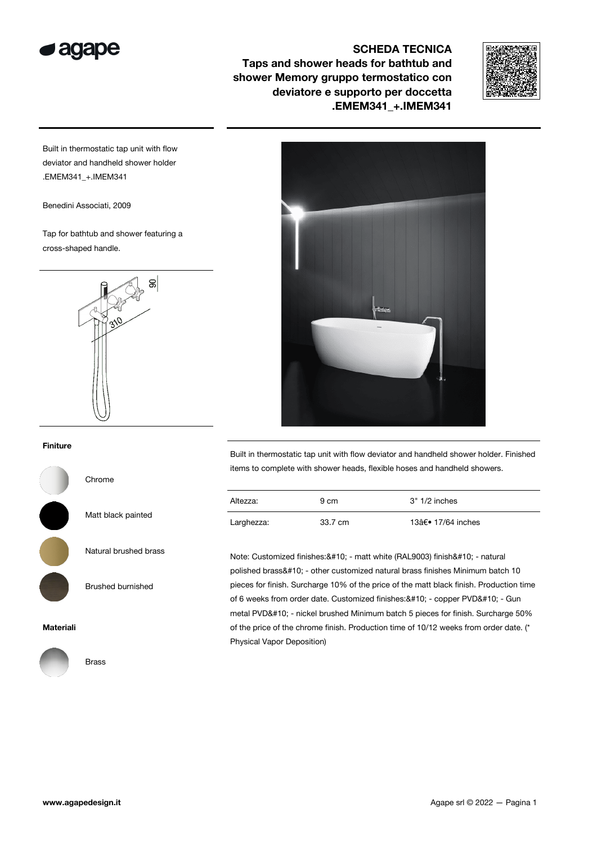

## SCHEDA TECNICA

Taps and shower heads for bathtub and shower Memory gruppo termostatico con deviatore e supporto per doccetta .EMEM341\_+.IMEM341



Built in thermostatic tap unit with flow deviator and handheld shower holder .EMEM341\_+.IMEM341

Benedini Associati, 2009

Tap for bathtub and shower featuring a cross-shaped handle.



## Finiture

Chrome

Matt black painted

Natural brushed brass

Brushed burnished

#### Materiali



Built in thermostatic tap unit with flow deviator and handheld shower holder. Finished items to complete with shower heads, flexible hoses and handheld showers.

| Altezza:   | 9 cm    | 3" 1/2 inches     |
|------------|---------|-------------------|
| Larghezza: | 33.7 cm | 13†• 17/64 inches |

Note: Customized finishes: & #10; - matt white (RAL9003) finish & #10; - natural polished brass
- other customized natural brass finishes Minimum batch 10 pieces for finish. Surcharge 10% of the price of the matt black finish. Production time of 6 weeks from order date. Customized finishes: & #10; - copper PVD& #10; - Gun metal PVD
- nickel brushed Minimum batch 5 pieces for finish. Surcharge 50% of the price of the chrome finish. Production time of 10/12 weeks from order date. (\* Physical Vapor Deposition)

Brass